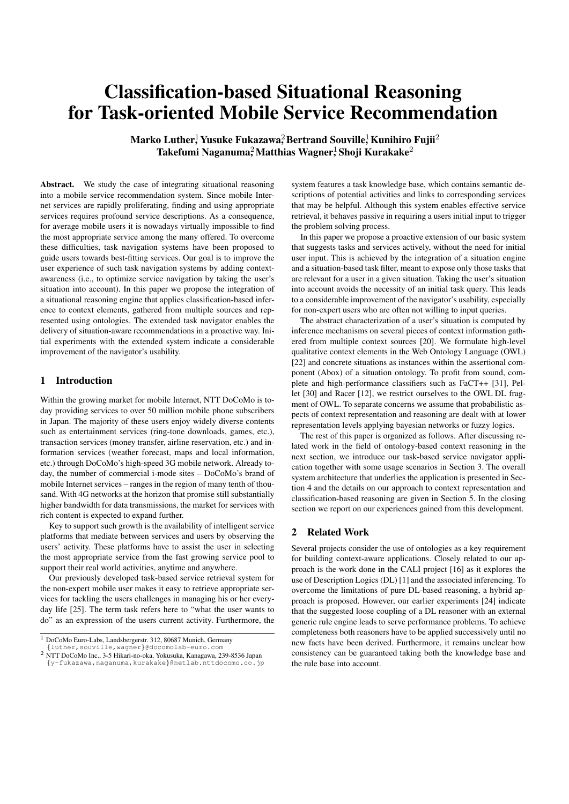# Classification-based Situational Reasoning for Task-oriented Mobile Service Recommendation

Marko Luther $;^{\rm l}$ Yusuke Fukazawa $^{\rm 2}_{\rm }$ Bertrand Souville $;^{\rm l}$ Kunihiro Fujii $^{\rm 2}$ Takefumi Naganuma ${\rm _*^2}$ Matthias Wagner ${\rm _*^1}$ Shoji Kurakake ${\rm ^2}$ 

Abstract. We study the case of integrating situational reasoning into a mobile service recommendation system. Since mobile Internet services are rapidly proliferating, finding and using appropriate services requires profound service descriptions. As a consequence, for average mobile users it is nowadays virtually impossible to find the most appropriate service among the many offered. To overcome these difficulties, task navigation systems have been proposed to guide users towards best-fitting services. Our goal is to improve the user experience of such task navigation systems by adding contextawareness (i.e., to optimize service navigation by taking the user's situation into account). In this paper we propose the integration of a situational reasoning engine that applies classification-based inference to context elements, gathered from multiple sources and represented using ontologies. The extended task navigator enables the delivery of situation-aware recommendations in a proactive way. Initial experiments with the extended system indicate a considerable improvement of the navigator's usability.

## 1 Introduction

Within the growing market for mobile Internet, NTT DoCoMo is today providing services to over 50 million mobile phone subscribers in Japan. The majority of these users enjoy widely diverse contents such as entertainment services (ring-tone downloads, games, etc.), transaction services (money transfer, airline reservation, etc.) and information services (weather forecast, maps and local information, etc.) through DoCoMo's high-speed 3G mobile network. Already today, the number of commercial i-mode sites – DoCoMo's brand of mobile Internet services – ranges in the region of many tenth of thousand. With 4G networks at the horizon that promise still substantially higher bandwidth for data transmissions, the market for services with rich content is expected to expand further.

Key to support such growth is the availability of intelligent service platforms that mediate between services and users by observing the users' activity. These platforms have to assist the user in selecting the most appropriate service from the fast growing service pool to support their real world activities, anytime and anywhere.

Our previously developed task-based service retrieval system for the non-expert mobile user makes it easy to retrieve appropriate services for tackling the users challenges in managing his or her everyday life [25]. The term task refers here to "what the user wants to do" as an expression of the users current activity. Furthermore, the system features a task knowledge base, which contains semantic descriptions of potential activities and links to corresponding services that may be helpful. Although this system enables effective service retrieval, it behaves passive in requiring a users initial input to trigger the problem solving process.

In this paper we propose a proactive extension of our basic system that suggests tasks and services actively, without the need for initial user input. This is achieved by the integration of a situation engine and a situation-based task filter, meant to expose only those tasks that are relevant for a user in a given situation. Taking the user's situation into account avoids the necessity of an initial task query. This leads to a considerable improvement of the navigator's usability, especially for non-expert users who are often not willing to input queries.

The abstract characterization of a user's situation is computed by inference mechanisms on several pieces of context information gathered from multiple context sources [20]. We formulate high-level qualitative context elements in the Web Ontology Language (OWL) [22] and concrete situations as instances within the assertional component (Abox) of a situation ontology. To profit from sound, complete and high-performance classifiers such as FaCT++ [31], Pellet [30] and Racer [12], we restrict ourselves to the OWL DL fragment of OWL. To separate concerns we assume that probabilistic aspects of context representation and reasoning are dealt with at lower representation levels applying bayesian networks or fuzzy logics.

The rest of this paper is organized as follows. After discussing related work in the field of ontology-based context reasoning in the next section, we introduce our task-based service navigator application together with some usage scenarios in Section 3. The overall system architecture that underlies the application is presented in Section 4 and the details on our approach to context representation and classification-based reasoning are given in Section 5. In the closing section we report on our experiences gained from this development.

# 2 Related Work

Several projects consider the use of ontologies as a key requirement for building context-aware applications. Closely related to our approach is the work done in the CALI project [16] as it explores the use of Description Logics (DL) [1] and the associated inferencing. To overcome the limitations of pure DL-based reasoning, a hybrid approach is proposed. However, our earlier experiments [24] indicate that the suggested loose coupling of a DL reasoner with an external generic rule engine leads to serve performance problems. To achieve completeness both reasoners have to be applied successively until no new facts have been derived. Furthermore, it remains unclear how consistency can be guaranteed taking both the knowledge base and the rule base into account.

<sup>1</sup> DoCoMo Euro-Labs, Landsbergerstr. 312, 80687 Munich, Germany

<sup>{</sup>luther,souville,wagner}@docomolab-euro.com

<sup>2</sup> NTT DoCoMo Inc., 3-5 Hikari-no-oka, Yokusuka, Kanagawa, 239-8536 Japan {y-fukazawa,naganuma,kurakake}@netlab.nttdocomo.co.jp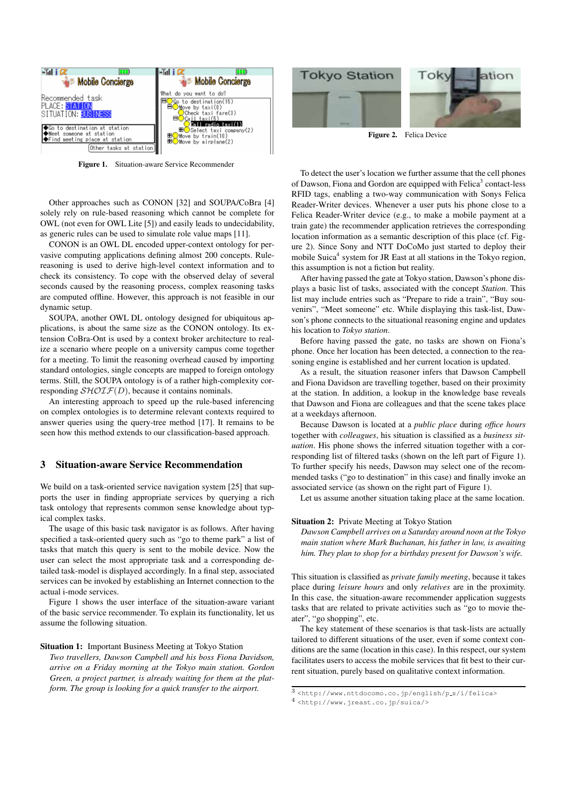

Figure 1. Situation-aware Service Recommender ride a train", "Buy souvenirs", "Meet someone at the

Other approaches such as CONON [32] and SOUPA/CoBra [4] solely rely on rule-based reasoning which cannot be complete for  $\frac{1}{2}$  such a station of  $\frac{1}{2}$  such a station of  $\frac{1}{2}$  such a station of  $\frac{1}{2}$  such a station of  $\frac{1}{2}$  such a station of  $\frac{1}{2}$  such a OWL (not even for OWL Lite [5]) and easily leads to undecidability, as generic rules can be used to simulate role value maps [11].

as generic rules can be used to simulate role value maps [11].<br>CONON is an OWL DL encoded upper-context ontology for per-LONON is an OWE DE encoded upper-connect ontology for per-<br>vasive computing applications defining almost 200 concepts. Rulevasive computing approachons demining annost 200 concepts. Kute-<br>reasoning is used to derive high-level context information and to classifing is used to derive high fover context information and to<br>check its consistency. To cope with the observed delay of several seconds caused by the reasoning process, complex reasoning tasks are computed offline. However, this approach is not feasible in our dynamic setup.

SOUPA, another OWL DL ontology designed for ubiquitous applications, is about the same size as the CONON ontology. Its extension CoBra-Ont is used by a context broker architecture to realize a scenario where people on a university campus come together for a meeting. To limit the reasoning overhead caused by importing standard ontologies, single concepts are mapped to foreign ontology terms. Still, the SOUPA ontology is of a rather high-complexity corresponding  $\mathcal{SHOIF}(D)$ , because it contains nominals.

An interesting approach to speed up the rule-based inferencing on complex ontologies is to determine relevant contexts required to  $\frac{1}{2}$  for  $\frac{1}{2}$  and  $\frac{1}{2}$  for  $\frac{1}{2}$  for  $\frac{1}{2}$  for  $\frac{1}{2}$  for  $\frac{1}{2}$  for  $\frac{1}{2}$  for  $\frac{1}{2}$  for  $\frac{1}{2}$  for  $\frac{1}{2}$  for answer queries using the query-tree method [17]. It remains to be answer queries using the query-tree method [17]. It remains to be<br>seen how this method extends to our classification-based approach. seen now this include extends to but crassineation-based approact

## 3 Situation-aware Service Recommendation C BINANIOI AND FATHER IN LOCALITY AND MARK

We build on a task-oriented service navigation system [25] that supports the user in finding appropriate services by querying a rich  $\frac{1}{2}$  task ontology that represents common sense knowledge about typical complex tasks.

The usage of this basic task navigator is as follows. After having specified a task-oriented query such as "go to theme park" a list of tasks that match this query is sent to the mobile device. Now the user can select the most appropriate task and a corresponding detailed task-model is displayed accordingly. In a final step, associated services can be invoked by establishing an Internet connection to the actual i-mode services.

Figure 1 shows the user interface of the situation-aware variant of the basic service recommender. To explain its functionality, let us assume the following situation.

## Situation 1: Important Business Meeting at Tokyo Station

*Two travellers, Dawson Campbell and his boss Fiona Davidson, arrive on a Friday morning at the Tokyo main station. Gordon Green, a project partner, is already waiting for them at the platform. The group is looking for a quick transfer to the airport.*



To detect the user's location we further assume that the cell phones of Dawson, Fiona and Gordon are equipped with Felica<sup>3</sup> contact-less RFID tags, enabling a two-way communication with Sonys Felica Reader-Writer devices. Whenever a user puts his phone close to a Felica Reader-Writer device (e.g., to make a mobile payment at a train gate) the recommender application retrieves the corresponding location information as a semantic description of this place (cf. Figure 2). Since Sony and NTT DoCoMo just started to deploy their mobile Suica<sup>4</sup> system for JR East at all stations in the Tokyo region, this assumption is not a fiction but reality.

After having passed the gate at Tokyo station, Dawson's phone displays a basic list of tasks, associated with the concept *Station*. This list may include entries such as "Prepare to ride a train", "Buy souvenirs", "Meet someone" etc. While displaying this task-list, Dawson's phone connects to the situational reasoning engine and updates his location to *Tokyo station*.

phone. Once her location has been detected, a connection to the rea-Before having passed the gate, no tasks are shown on Fiona's soning engine is established and her current location is updated.

As a result, the situation reasoner infers that Dawson Campbell and Fiona Davidson are travelling together, based on their proximity at the station. In addition, a lookup in the knowledge base reveals that Dawson and Fiona are colleagues and that the scene takes place at a weekdays afternoon.

Because Dawson is located at a *public place* during *office hours* together with *colleagues*, his situation is classified as a *business situation*. His phone shows the inferred situation together with a corresponding list of filtered tasks (shown on the left part of Figure 1). To further specify his needs, Dawson may select one of the recommended tasks ("go to destination" in this case) and finally invoke an associated service (as shown on the right part of Figure 1).

Let us assume another situation taking place at the same location.

#### Situation 2: Private Meeting at Tokyo Station

*Dawson Campbell arrives on a Saturday around noon at the Tokyo main station where Mark Buchanan, his father in law, is awaiting him. They plan to shop for a birthday present for Dawson's wife.*

This situation is classified as *private family meeting*, because it takes place during *leisure hours* and only *relatives* are in the proximity. In this case, the situation-aware recommender application suggests tasks that are related to private activities such as "go to movie theater", "go shopping", etc.

The key statement of these scenarios is that task-lists are actually  $\frac{1}{2}$ tailored to different situations of the user, even if some context con-<br> $\frac{1}{2}$ facilitates users to access the mobile services that fit best to their curditions are the same (location in this case). In this respect, our system rent situation, purely based on qualitative context information.

 $3$  <http://www.nttdocomo.co.jp/english/p\_s/i/felica> <sup>4</sup> <http://www.jreast.co.jp/suica/>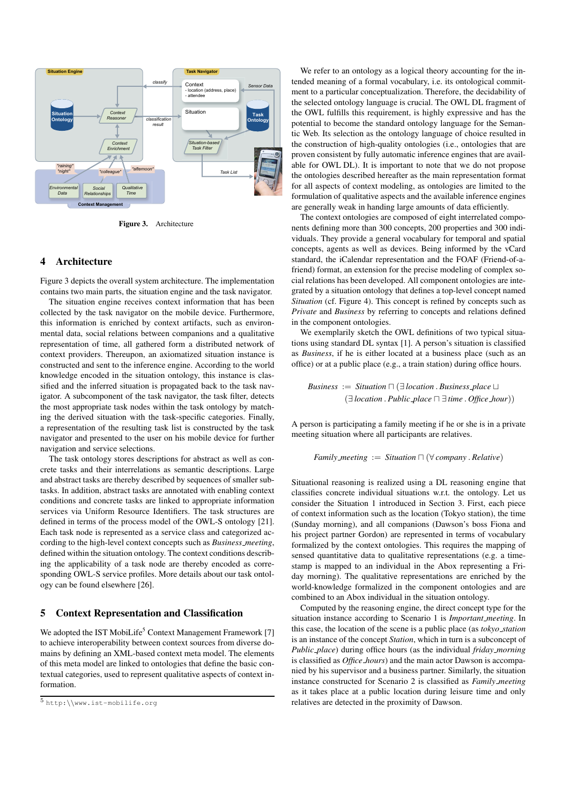

Figure 3. Architecture

## 4 Architecture

Figure 3 depicts the overall system architecture. The implementation contains two main parts, the situation engine and the task navigator.

The situation engine receives context information that has been collected by the task navigator on the mobile device. Furthermore, this information is enriched by context artifacts, such as environmental data, social relations between companions and a qualitative representation of time, all gathered form a distributed network of context providers. Thereupon, an axiomatized situation instance is constructed and sent to the inference engine. According to the world knowledge encoded in the situation ontology, this instance is classified and the inferred situation is propagated back to the task navigator. A subcomponent of the task navigator, the task filter, detects the most appropriate task nodes within the task ontology by matching the derived situation with the task-specific categories. Finally, a representation of the resulting task list is constructed by the task navigator and presented to the user on his mobile device for further navigation and service selections.

The task ontology stores descriptions for abstract as well as concrete tasks and their interrelations as semantic descriptions. Large and abstract tasks are thereby described by sequences of smaller subtasks. In addition, abstract tasks are annotated with enabling context conditions and concrete tasks are linked to appropriate information services via Uniform Resource Identifiers. The task structures are defined in terms of the process model of the OWL-S ontology [21]. Each task node is represented as a service class and categorized according to the high-level context concepts such as *Business meeting*, defined within the situation ontology. The context conditions describing the applicability of a task node are thereby encoded as corresponding OWL-S service profiles. More details about our task ontology can be found elsewhere [26].

# 5 Context Representation and Classification

We adopted the IST MobiLife<sup>5</sup> Context Management Framework [7] to achieve interoperability between context sources from diverse domains by defining an XML-based context meta model. The elements of this meta model are linked to ontologies that define the basic contextual categories, used to represent qualitative aspects of context information.

We refer to an ontology as a logical theory accounting for the intended meaning of a formal vocabulary, i.e. its ontological commitment to a particular conceptualization. Therefore, the decidability of the selected ontology language is crucial. The OWL DL fragment of the OWL fulfills this requirement, is highly expressive and has the potential to become the standard ontology language for the Semantic Web. Its selection as the ontology language of choice resulted in the construction of high-quality ontologies (i.e., ontologies that are proven consistent by fully automatic inference engines that are available for OWL DL). It is important to note that we do not propose the ontologies described hereafter as the main representation format for all aspects of context modeling, as ontologies are limited to the formulation of qualitative aspects and the available inference engines are generally weak in handing large amounts of data efficiently.

The context ontologies are composed of eight interrelated components defining more than 300 concepts, 200 properties and 300 individuals. They provide a general vocabulary for temporal and spatial concepts, agents as well as devices. Being informed by the vCard standard, the iCalendar representation and the FOAF (Friend-of-afriend) format, an extension for the precise modeling of complex social relations has been developed. All component ontologies are integrated by a situation ontology that defines a top-level concept named *Situation* (cf. Figure 4). This concept is refined by concepts such as *Private* and *Business* by referring to concepts and relations defined in the component ontologies.

We exemplarily sketch the OWL definitions of two typical situations using standard DL syntax [1]. A person's situation is classified as *Business*, if he is either located at a business place (such as an office) or at a public place (e.g., a train station) during office hours.

 $Business := Situation \sqcap (\exists location.Business-place \sqcup$  $(∃ location . Public\_place ⊓ ∃ time . Office_hour))$ 

A person is participating a family meeting if he or she is in a private meeting situation where all participants are relatives.

*Family\_meeting* := *Situation*  $\Box$  ( $\forall$  *company* . *Relative*)

Situational reasoning is realized using a DL reasoning engine that classifies concrete individual situations w.r.t. the ontology. Let us consider the Situation 1 introduced in Section 3. First, each piece of context information such as the location (Tokyo station), the time (Sunday morning), and all companions (Dawson's boss Fiona and his project partner Gordon) are represented in terms of vocabulary formalized by the context ontologies. This requires the mapping of sensed quantitative data to qualitative representations (e.g. a timestamp is mapped to an individual in the Abox representing a Friday morning). The qualitative representations are enriched by the world-knowledge formalized in the component ontologies and are combined to an Abox individual in the situation ontology.

Computed by the reasoning engine, the direct concept type for the situation instance according to Scenario 1 is *Important meeting*. In this case, the location of the scene is a public place (as *tokyo station* is an instance of the concept *Station*, which in turn is a subconcept of *Public place*) during office hours (as the individual *friday morning* is classified as *Office hours*) and the main actor Dawson is accompanied by his supervisor and a business partner. Similarly, the situation instance constructed for Scenario 2 is classified as *Family meeting* as it takes place at a public location during leisure time and only relatives are detected in the proximity of Dawson.

<sup>5</sup> http:\\www.ist-mobilife.org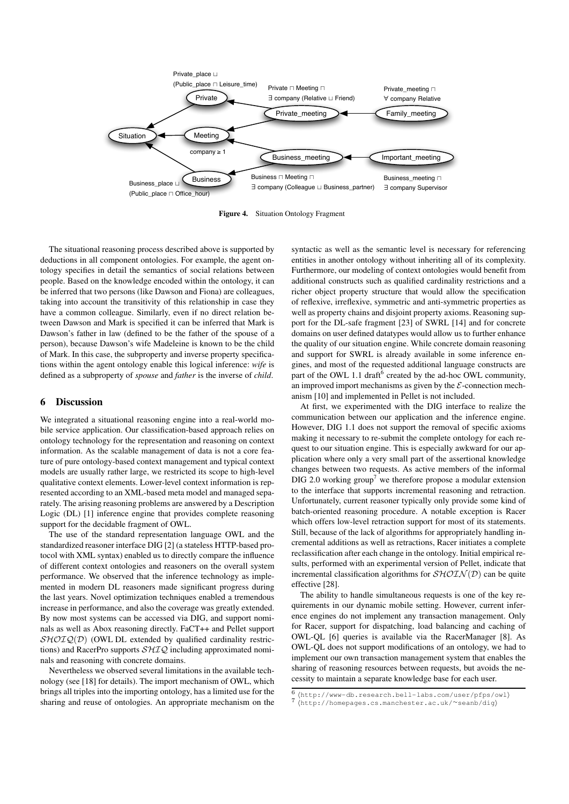

Figure 4. Situation Ontology Fragment

The situational reasoning process described above is supported by deductions in all component ontologies. For example, the agent ontology specifies in detail the semantics of social relations between people. Based on the knowledge encoded within the ontology, it can be inferred that two persons (like Dawson and Fiona) are colleagues, taking into account the transitivity of this relationship in case they have a common colleague. Similarly, even if no direct relation between Dawson and Mark is specified it can be inferred that Mark is Dawson's father in law (defined to be the father of the spouse of a person), because Dawson's wife Madeleine is known to be the child of Mark. In this case, the subproperty and inverse property specifications within the agent ontology enable this logical inference: *wife* is defined as a subproperty of *spouse* and *father* is the inverse of *child*.

## 6 Discussion

We integrated a situational reasoning engine into a real-world mobile service application. Our classification-based approach relies on ontology technology for the representation and reasoning on context information. As the scalable management of data is not a core feature of pure ontology-based context management and typical context models are usually rather large, we restricted its scope to high-level qualitative context elements. Lower-level context information is represented according to an XML-based meta model and managed separately. The arising reasoning problems are answered by a Description Logic (DL) [1] inference engine that provides complete reasoning support for the decidable fragment of OWL.

The use of the standard representation language OWL and the standardized reasoner interface DIG [2] (a stateless HTTP-based protocol with XML syntax) enabled us to directly compare the influence of different context ontologies and reasoners on the overall system performance. We observed that the inference technology as implemented in modern DL reasoners made significant progress during the last years. Novel optimization techniques enabled a tremendous increase in performance, and also the coverage was greatly extended. By now most systems can be accessed via DIG, and support nominals as well as Abox reasoning directly. FaCT++ and Pellet support  $SHOTQ(D)$  (OWL DL extended by qualified cardinality restrictions) and RacerPro supports  $\mathcal{SHTQ}$  including approximated nominals and reasoning with concrete domains.

Nevertheless we observed several limitations in the available technology (see [18] for details). The import mechanism of OWL, which brings all triples into the importing ontology, has a limited use for the sharing and reuse of ontologies. An appropriate mechanism on the

syntactic as well as the semantic level is necessary for referencing entities in another ontology without inheriting all of its complexity. Furthermore, our modeling of context ontologies would benefit from additional constructs such as qualified cardinality restrictions and a richer object property structure that would allow the specification of reflexive, irreflexive, symmetric and anti-symmetric properties as well as property chains and disjoint property axioms. Reasoning support for the DL-safe fragment [23] of SWRL [14] and for concrete domains on user defined datatypes would allow us to further enhance the quality of our situation engine. While concrete domain reasoning and support for SWRL is already available in some inference engines, and most of the requested additional language constructs are part of the OWL 1.1 draft<sup>6</sup> created by the ad-hoc OWL community, an improved import mechanisms as given by the  $\mathcal{E}$ -connection mechanism [10] and implemented in Pellet is not included.

At first, we experimented with the DIG interface to realize the communication between our application and the inference engine. However, DIG 1.1 does not support the removal of specific axioms making it necessary to re-submit the complete ontology for each request to our situation engine. This is especially awkward for our application where only a very small part of the assertional knowledge changes between two requests. As active members of the informal DIG 2.0 working group<sup>7</sup> we therefore propose a modular extension to the interface that supports incremental reasoning and retraction. Unfortunately, current reasoner typically only provide some kind of batch-oriented reasoning procedure. A notable exception is Racer which offers low-level retraction support for most of its statements. Still, because of the lack of algorithms for appropriately handling incremental additions as well as retractions, Racer initiates a complete reclassification after each change in the ontology. Initial empirical results, performed with an experimental version of Pellet, indicate that incremental classification algorithms for  $\mathcal{SHOIN}(\mathcal{D})$  can be quite effective [28].

The ability to handle simultaneous requests is one of the key requirements in our dynamic mobile setting. However, current inference engines do not implement any transaction management. Only for Racer, support for dispatching, load balancing and caching of OWL-QL [6] queries is available via the RacerManager [8]. As OWL-QL does not support modifications of an ontology, we had to implement our own transaction management system that enables the sharing of reasoning resources between requests, but avoids the necessity to maintain a separate knowledge base for each user.

 $6$  (http://www-db.research.bell-labs.com/user/pfps/owl) 7 (http://homepages.cs.manchester.ac.uk/∼seanb/dig)